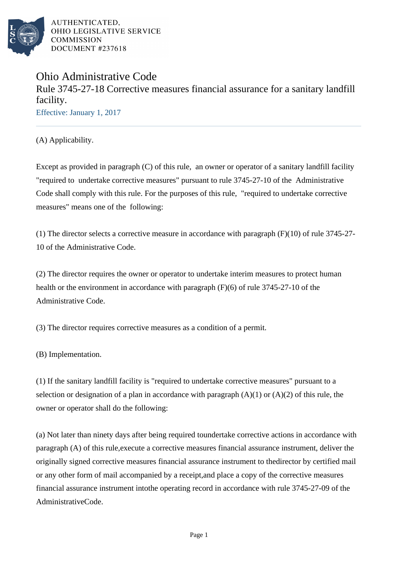

# Ohio Administrative Code Rule 3745-27-18 Corrective measures financial assurance for a sanitary landfill facility. Effective: January 1, 2017

(A) Applicability.

Except as provided in paragraph (C) of this rule, an owner or operator of a sanitary landfill facility "required to undertake corrective measures" pursuant to rule 3745-27-10 of the Administrative Code shall comply with this rule. For the purposes of this rule, "required to undertake corrective measures" means one of the following:

(1) The director selects a corrective measure in accordance with paragraph  $(F)(10)$  of rule 3745-27-10 of the Administrative Code.

(2) The director requires the owner or operator to undertake interim measures to protect human health or the environment in accordance with paragraph  $(F)(6)$  of rule 3745-27-10 of the Administrative Code.

(3) The director requires corrective measures as a condition of a permit.

(B) Implementation.

(1) If the sanitary landfill facility is "required to undertake corrective measures" pursuant to a selection or designation of a plan in accordance with paragraph  $(A)(1)$  or  $(A)(2)$  of this rule, the owner or operator shall do the following:

(a) Not later than ninety days after being required to undertake corrective actions in accordance with paragraph (A) of this rule, execute a corrective measures financial assurance instrument, deliver the originally signed corrective measures financial assurance instrument to the director by certified mail or any other form of mail accompanied by a receipt, and place a copy of the corrective measures financial assurance instrument into the operating record in accordance with rule 3745-27-09 of the Administrative Code.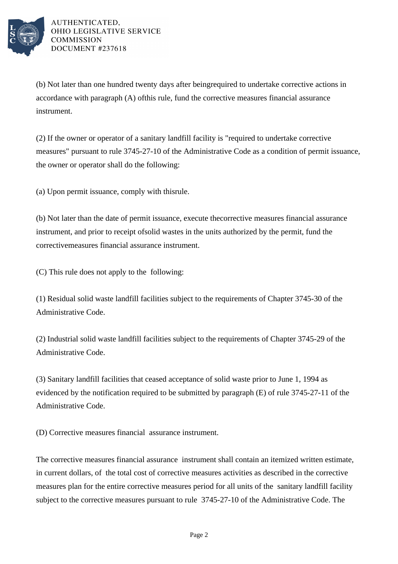

(b) Not later than one hundred twenty days after being required to undertake corrective actions in accordance with paragraph  $(A)$  of this rule, fund the corrective measures financial assurance instrument.

(2) If the owner or operator of a sanitary landfill facility is "required to undertake corrective measures" pursuant to rule 3745-27-10 of the Administrative Code as a condition of permit issuance, the owner or operator shall do the following:

 $(a)$  Upon permit issuance, comply with this rule.

(b) Not later than the date of permit issuance, execute the corrective measures financial assurance instrument, and prior to receipt of solid wastes in the units authorized by the permit, fund the corrective measures financial assurance instrument.

(C) This rule does not apply to the following:

(1) Residual solid waste landfill facilities subject to the requirements of Chapter 3745-30 of the Administrative Code.

(2) Industrial solid waste landfill facilities subject to the requirements of Chapter 3745-29 of the Administrative Code.

(3) Sanitary landfill facilities that ceased acceptance of solid waste prior to June 1, 1994 as evidenced by the notification required to be submitted by paragraph  $(E)$  of rule 3745-27-11 of the Administrative Code.

(D) Corrective measures financial assurance instrument.

The corrective measures financial assurance instrument shall contain an itemized written estimate, in current dollars, of the total cost of corrective measures activities as described in the corrective measures plan for the entire corrective measures period for all units of the sanitary landfill facility subject to the corrective measures pursuant to rule 3745-27-10 of the Administrative Code. The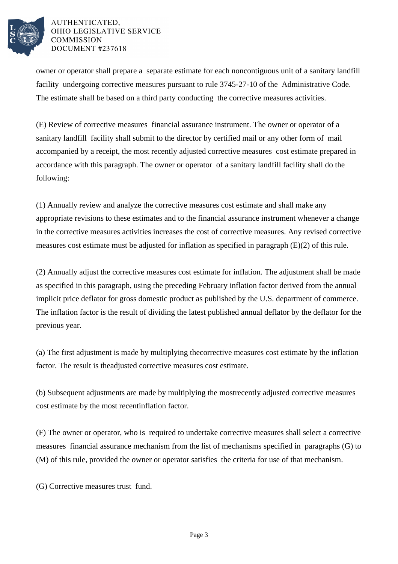

owner or operator shall prepare a separate estimate for each noncontiguous unit of a sanitary landfill facility undergoing corrective measures pursuant to rule 3745-27-10 of the Administrative Code. The estimate shall be based on a third party conducting the corrective measures activities.

(E) Review of corrective measures financial assurance instrument. The owner or operator of a sanitary landfill facility shall submit to the director by certified mail or any other form of mail accompanied by a receipt, the most recently adjusted corrective measures cost estimate prepared in accordance with this paragraph. The owner or operator of a sanitary landfill facility shall do the following:

(1) Annually review and analyze the corrective measures cost estimate and shall make any appropriate revisions to these estimates and to the financial assurance instrument whenever a change in the corrective measures activities increases the cost of corrective measures. Any revised corrective measures cost estimate must be adjusted for inflation as specified in paragraph  $(E)(2)$  of this rule.

(2) Annually adjust the corrective measures cost estimate for inflation. The adjustment shall be made as specified in this paragraph, using the preceding February inflation factor derived from the annual implicit price deflator for gross domestic product as published by the U.S. department of commerce. The inflation factor is the result of dividing the latest published annual deflator by the deflator for the previous year.

(a) The first adjustment is made by multiplying the corrective measures cost estimate by the inflation factor. The result is the adjusted corrective measures cost estimate.

(b) Subsequent adjustments are made by multiplying the most recently adjusted corrective measures cost estimate by the most recent inflation factor.

(F) The owner or operator, who is required to undertake corrective measures shall select a corrective measures financial assurance mechanism from the list of mechanisms specified in paragraphs (G) to (M) of this rule, provided the owner or operator satisfies the criteria for use of that mechanism.

(G) Corrective measures trust fund.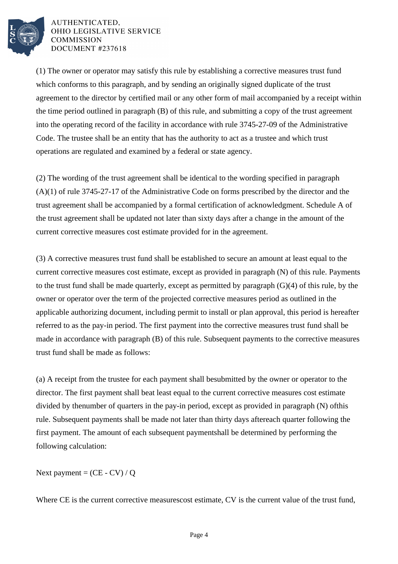

(1) The owner or operator may satisfy this rule by establishing a corrective measures trust fund which conforms to this paragraph, and by sending an originally signed duplicate of the trust agreement to the director by certified mail or any other form of mail accompanied by a receipt within the time period outlined in paragraph  $(B)$  of this rule, and submitting a copy of the trust agreement into the operating record of the facility in accordance with rule 3745-27-09 of the Administrative Code. The trustee shall be an entity that has the authority to act as a trustee and which trust operations are regulated and examined by a federal or state agency.

(2) The wording of the trust agreement shall be identical to the wording specified in paragraph  $(A)(1)$  of rule 3745-27-17 of the Administrative Code on forms prescribed by the director and the trust agreement shall be accompanied by a formal certification of acknowledgment. Schedule A of the trust agreement shall be updated not later than sixty days after a change in the amount of the current corrective measures cost estimate provided for in the agreement.

(3) A corrective measures trust fund shall be established to secure an amount at least equal to the current corrective measures cost estimate, except as provided in paragraph (N) of this rule. Payments to the trust fund shall be made quarterly, except as permitted by paragraph  $(G)(4)$  of this rule, by the owner or operator over the term of the projected corrective measures period as outlined in the applicable authorizing document, including permit to install or plan approval, this period is hereafter referred to as the pay-in period. The first payment into the corrective measures trust fund shall be made in accordance with paragraph (B) of this rule. Subsequent payments to the corrective measures trust fund shall be made as follows:

(a) A receipt from the trustee for each payment shall be submitted by the owner or operator to the director. The first payment shall be at least equal to the current corrective measures cost estimate divided by the number of quarters in the pay-in period, except as provided in paragraph  $(N)$  of this rule. Subsequent payments shall be made not later than thirty days after each quarter following the first payment. The amount of each subsequent payment shall be determined by performing the following calculation:

Next payment =  $(CE - CV) / Q$ 

Where CE is the current corrective measures cost estimate, CV is the current value of the trust fund,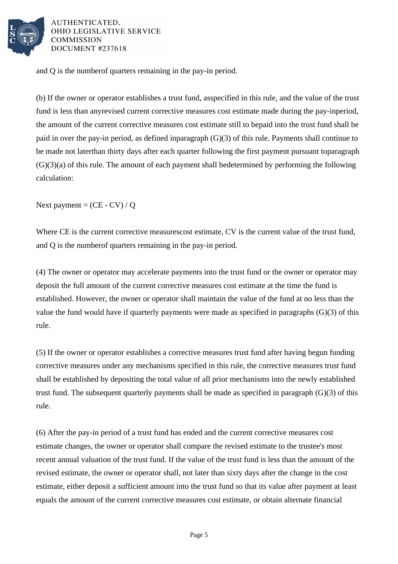

and Q is the number of quarters remaining in the pay-in period.

(b) If the owner or operator establishes a trust fund, as specified in this rule, and the value of the trust fund is less than any revised current corrective measures cost estimate made during the pay-in period, the amount of the current corrective measures cost estimate still to be paid into the trust fund shall be paid in over the pay-in period, as defined in  $\frac{1}{2}$  paragraph (G)(3) of this rule. Payments shall continue to be made not later than thirty days after each quarter following the first payment pursuant to paragraph  $(G)(3)(a)$  of this rule. The amount of each payment shall be determined by performing the following calculation:

Next payment =  $(CE - CV) / Q$ 

Where CE is the current corrective measures cost estimate, CV is the current value of the trust fund, and Q is the number of quarters remaining in the pay-in period.

(4) The owner or operator may accelerate payments into the trust fund or the owner or operator may deposit the full amount of the current corrective measures cost estimate at the time the fund is established. However, the owner or operator shall maintain the value of the fund at no less than the value the fund would have if quarterly payments were made as specified in paragraphs  $(G)(3)$  of this rule.

(5) If the owner or operator establishes a corrective measures trust fund after having begun funding corrective measures under any mechanisms specified in this rule, the corrective measures trust fund shall be established by depositing the total value of all prior mechanisms into the newly established trust fund. The subsequent quarterly payments shall be made as specified in paragraph  $(G)(3)$  of this rule.

(6) After the pay-in period of a trust fund has ended and the current corrective measures cost estimate changes, the owner or operator shall compare the revised estimate to the trustee's most recent annual valuation of the trust fund. If the value of the trust fund is less than the amount of the revised estimate, the owner or operator shall, not later than sixty days after the change in the cost estimate, either deposit a sufficient amount into the trust fund so that its value after payment at least equals the amount of the current corrective measures cost estimate, or obtain alternate financial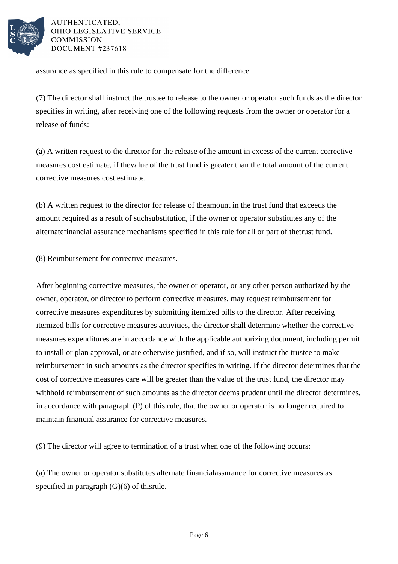

assurance as specified in this rule to compensate for the difference.

(7) The director shall instruct the trustee to release to the owner or operator such funds as the director specifies in writing, after receiving one of the following requests from the owner or operator for a release of funds:

(a) A written request to the director for the release of the amount in excess of the current corrective measures cost estimate, if the value of the trust fund is greater than the total amount of the current corrective measures cost estimate.

(b) A written request to the director for release of the amount in the trust fund that exceeds the amount required as a result of such substitution, if the owner or operator substitutes any of the alternate financial assurance mechanisms specified in this rule for all or part of the trust fund.

(8) Reimbursement for corrective measures.

After beginning corrective measures, the owner or operator, or any other person authorized by the owner, operator, or director to perform corrective measures, may request reimbursement for corrective measures expenditures by submitting itemized bills to the director. After receiving itemized bills for corrective measures activities, the director shall determine whether the corrective measures expenditures are in accordance with the applicable authorizing document, including permit to install or plan approval, or are otherwise justified, and if so, will instruct the trustee to make reimbursement in such amounts as the director specifies in writing. If the director determines that the cost of corrective measures care will be greater than the value of the trust fund, the director may withhold reimbursement of such amounts as the director deems prudent until the director determines, in accordance with paragraph  $(P)$  of this rule, that the owner or operator is no longer required to maintain financial assurance for corrective measures.

(9) The director will agree to termination of a trust when one of the following occurs:

(a) The owner or operator substitutes alternate financial assurance for corrective measures as specified in paragraph  $(G)(6)$  of this rule.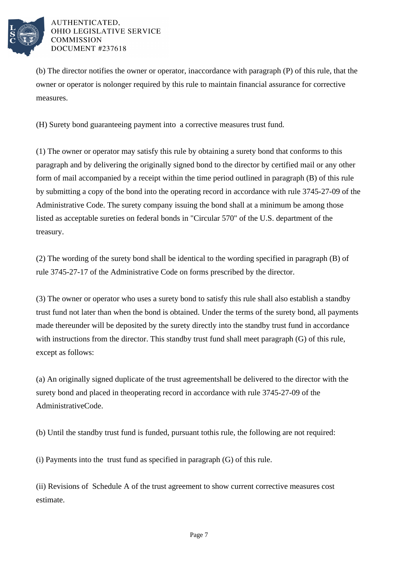

(b) The director notifies the owner or operator, in accordance with paragraph (P) of this rule, that the owner or operator is no longer required by this rule to maintain financial assurance for corrective measures.

(H) Surety bond guaranteeing payment into a corrective measures trust fund.

(1) The owner or operator may satisfy this rule by obtaining a surety bond that conforms to this paragraph and by delivering the originally signed bond to the director by certified mail or any other form of mail accompanied by a receipt within the time period outlined in paragraph (B) of this rule by submitting a copy of the bond into the operating record in accordance with rule 3745-27-09 of the Administrative Code. The surety company issuing the bond shall at a minimum be among those listed as acceptable sureties on federal bonds in "Circular 570" of the U.S. department of the treasury.

(2) The wording of the surety bond shall be identical to the wording specified in paragraph (B) of rule 3745-27-17 of the Administrative Code on forms prescribed by the director.

(3) The owner or operator who uses a surety bond to satisfy this rule shall also establish a standby trust fund not later than when the bond is obtained. Under the terms of the surety bond, all payments made thereunder will be deposited by the surety directly into the standby trust fund in accordance with instructions from the director. This standby trust fund shall meet paragraph  $(G)$  of this rule, except as follows:

(a) An originally signed duplicate of the trust agreement shall be delivered to the director with the surety bond and placed in the operating record in accordance with rule 3745-27-09 of the Administrative Code.

(b) Until the standby trust fund is funded, pursuant to this rule, the following are not required:

(i) Payments into the trust fund as specified in paragraph  $(G)$  of this rule.

(ii) Revisions of Schedule A of the trust agreement to show current corrective measures cost estimate.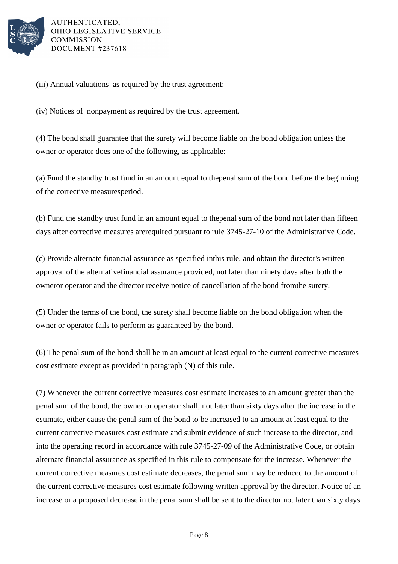

(iii) Annual valuations as required by the trust agreement;

(iv) Notices of nonpayment as required by the trust agreement.

(4) The bond shall guarantee that the surety will become liable on the bond obligation unless the owner or operator does one of the following, as applicable:

(a) Fund the standby trust fund in an amount equal to the penal sum of the bond before the beginning of the corrective measures period.

(b) Fund the standby trust fund in an amount equal to the penal sum of the bond not later than fifteen days after corrective measures are required pursuant to rule 3745-27-10 of the Administrative Code.

(c) Provide alternate financial assurance as specified in this rule, and obtain the director's written approval of the alternative financial assurance provided, not later than ninety days after both the owner or operator and the director receive notice of cancellation of the bond from the surety.

(5) Under the terms of the bond, the surety shall become liable on the bond obligation when the owner or operator fails to perform as guaranteed by the bond.

(6) The penal sum of the bond shall be in an amount at least equal to the current corrective measures cost estimate except as provided in paragraph (N) of this rule.

(7) Whenever the current corrective measures cost estimate increases to an amount greater than the penal sum of the bond, the owner or operator shall, not later than sixty days after the increase in the estimate, either cause the penal sum of the bond to be increased to an amount at least equal to the current corrective measures cost estimate and submit evidence of such increase to the director, and into the operating record in accordance with rule 3745-27-09 of the Administrative Code, or obtain alternate financial assurance as specified in this rule to compensate for the increase. Whenever the current corrective measures cost estimate decreases, the penal sum may be reduced to the amount of the current corrective measures cost estimate following written approval by the director. Notice of an increase or a proposed decrease in the penal sum shall be sent to the director not later than sixty days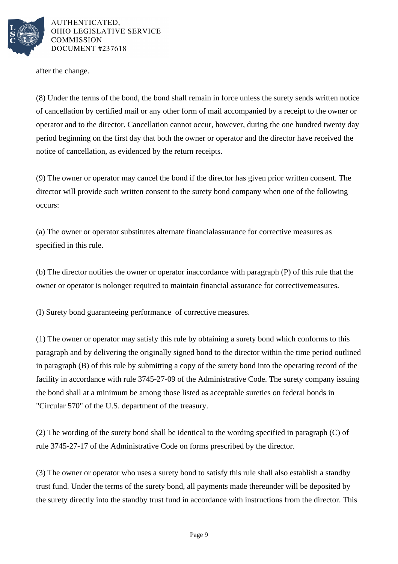

after the change.

(8) Under the terms of the bond, the bond shall remain in force unless the surety sends written notice of cancellation by certified mail or any other form of mail accompanied by a receipt to the owner or operator and to the director. Cancellation cannot occur, however, during the one hundred twenty day period beginning on the first day that both the owner or operator and the director have received the notice of cancellation, as evidenced by the return receipts.

(9) The owner or operator may cancel the bond if the director has given prior written consent. The director will provide such written consent to the surety bond company when one of the following occurs:

(a) The owner or operator substitutes alternate financial assurance for corrective measures as specified in this rule.

(b) The director notifies the owner or operator in accordance with paragraph (P) of this rule that the owner or operator is no longer required to maintain financial assurance for corrective measures.

(I) Surety bond guaranteeing performance of corrective measures.

(1) The owner or operator may satisfy this rule by obtaining a surety bond which conforms to this paragraph and by delivering the originally signed bond to the director within the time period outlined in paragraph  $(B)$  of this rule by submitting a copy of the surety bond into the operating record of the facility in accordance with rule 3745-27-09 of the Administrative Code. The surety company issuing the bond shall at a minimum be among those listed as acceptable sureties on federal bonds in "Circular 570" of the U.S. department of the treasury.

(2) The wording of the surety bond shall be identical to the wording specified in paragraph  $(C)$  of rule 3745-27-17 of the Administrative Code on forms prescribed by the director.

(3) The owner or operator who uses a surety bond to satisfy this rule shall also establish a standby trust fund. Under the terms of the surety bond, all payments made thereunder will be deposited by the surety directly into the standby trust fund in accordance with instructions from the director. This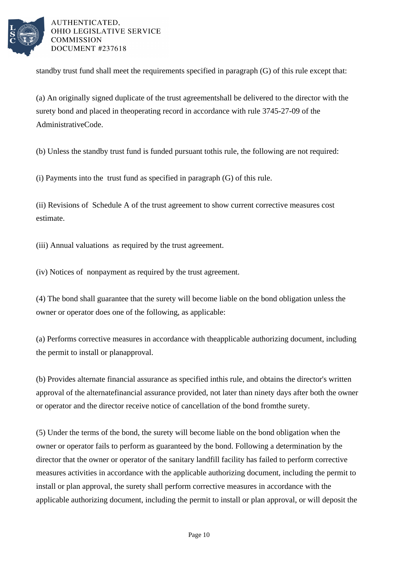

standby trust fund shall meet the requirements specified in paragraph  $(G)$  of this rule except that:

(a) An originally signed duplicate of the trust agreement shall be delivered to the director with the surety bond and placed in the operating record in accordance with rule 3745-27-09 of the Administrative Code.

(b) Unless the standby trust fund is funded pursuant to this rule, the following are not required:

 $(i)$  Payments into the trust fund as specified in paragraph  $(G)$  of this rule.

(ii) Revisions of Schedule A of the trust agreement to show current corrective measures cost estimate.

(iii) Annual valuations as required by the trust agreement.

(iv) Notices of nonpayment as required by the trust agreement.

(4) The bond shall guarantee that the surety will become liable on the bond obligation unless the owner or operator does one of the following, as applicable:

(a) Performs corrective measures in accordance with the applicable authorizing document, including the permit to install or plan approval.

(b) Provides alternate financial assurance as specified in this rule, and obtains the director's written approval of the alternate financial assurance provided, not later than ninety days after both the owner or operator and the director receive notice of cancellation of the bond from the surety.

(5) Under the terms of the bond, the surety will become liable on the bond obligation when the owner or operator fails to perform as guaranteed by the bond. Following a determination by the director that the owner or operator of the sanitary landfill facility has failed to perform corrective measures activities in accordance with the applicable authorizing document, including the permit to install or plan approval, the surety shall perform corrective measures in accordance with the applicable authorizing document, including the permit to install or plan approval, or will deposit the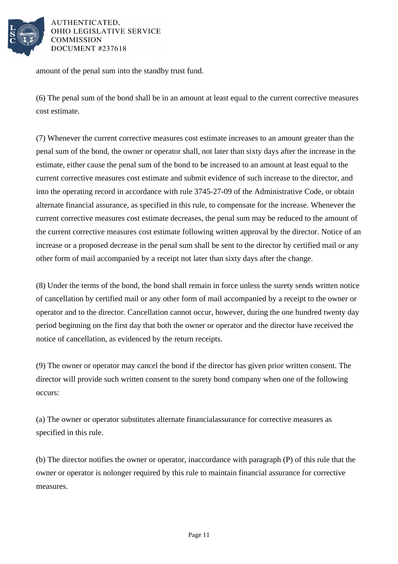

amount of the penal sum into the standby trust fund.

(6) The penal sum of the bond shall be in an amount at least equal to the current corrective measures cost estimate.

(7) Whenever the current corrective measures cost estimate increases to an amount greater than the penal sum of the bond, the owner or operator shall, not later than sixty days after the increase in the estimate, either cause the penal sum of the bond to be increased to an amount at least equal to the current corrective measures cost estimate and submit evidence of such increase to the director, and into the operating record in accordance with rule 3745-27-09 of the Administrative Code, or obtain alternate financial assurance, as specified in this rule, to compensate for the increase. Whenever the current corrective measures cost estimate decreases, the penal sum may be reduced to the amount of the current corrective measures cost estimate following written approval by the director. Notice of an increase or a proposed decrease in the penal sum shall be sent to the director by certified mail or any other form of mail accompanied by a receipt not later than sixty days after the change.

(8) Under the terms of the bond, the bond shall remain in force unless the surety sends written notice of cancellation by certified mail or any other form of mail accompanied by a receipt to the owner or operator and to the director. Cancellation cannot occur, however, during the one hundred twenty day period beginning on the first day that both the owner or operator and the director have received the notice of cancellation, as evidenced by the return receipts.

(9) The owner or operator may cancel the bond if the director has given prior written consent. The director will provide such written consent to the surety bond company when one of the following occurs:

(a) The owner or operator substitutes alternate financial assurance for corrective measures as specified in this rule.

(b) The director notifies the owner or operator, in accordance with paragraph (P) of this rule that the owner or operator is no longer required by this rule to maintain financial assurance for corrective measures.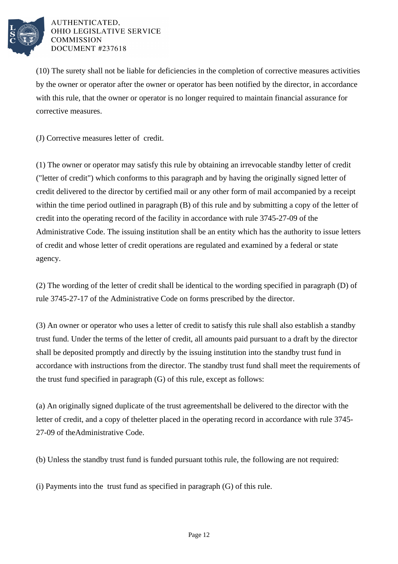

(10) The surety shall not be liable for deficiencies in the completion of corrective measures activities by the owner or operator after the owner or operator has been notified by the director, in accordance with this rule, that the owner or operator is no longer required to maintain financial assurance for corrective measures.

(J) Corrective measures letter of credit.

(1) The owner or operator may satisfy this rule by obtaining an irrevocable standby letter of credit ("letter of credit") which conforms to this paragraph and by having the originally signed letter of credit delivered to the director by certified mail or any other form of mail accompanied by a receipt within the time period outlined in paragraph  $(B)$  of this rule and by submitting a copy of the letter of credit into the operating record of the facility in accordance with rule 3745-27-09 of the Administrative Code. The issuing institution shall be an entity which has the authority to issue letters of credit and whose letter of credit operations are regulated and examined by a federal or state agency.

(2) The wording of the letter of credit shall be identical to the wording specified in paragraph  $(D)$  of rule 3745-27-17 of the Administrative Code on forms prescribed by the director.

(3) An owner or operator who uses a letter of credit to satisfy this rule shall also establish a standby trust fund. Under the terms of the letter of credit, all amounts paid pursuant to a draft by the director shall be deposited promptly and directly by the issuing institution into the standby trust fund in accordance with instructions from the director. The standby trust fund shall meet the requirements of the trust fund specified in paragraph  $(G)$  of this rule, except as follows:

(a) An originally signed duplicate of the trust agreement shall be delivered to the director with the letter of credit, and a copy of the letter placed in the operating record in accordance with rule 3745-27-09 of the Administrative Code.

(b) Unless the standby trust fund is funded pursuant to this rule, the following are not required:

(i) Payments into the trust fund as specified in paragraph  $(G)$  of this rule.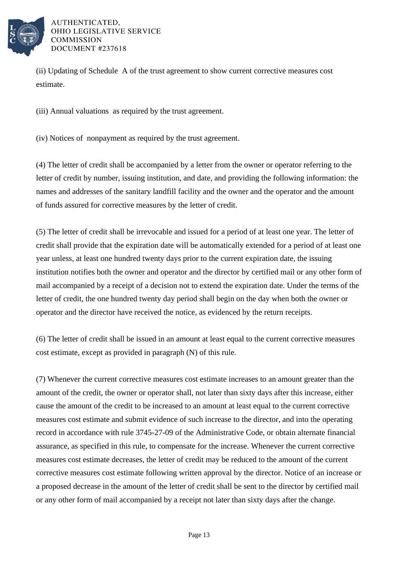

(ii) Updating of Schedule A of the trust agreement to show current corrective measures cost estimate.

(iii) Annual valuations as required by the trust agreement.

(iv) Notices of nonpayment as required by the trust agreement.

(4) The letter of credit shall be accompanied by a letter from the owner or operator referring to the letter of credit by number, issuing institution, and date, and providing the following information: the names and addresses of the sanitary landfill facility and the owner and the operator and the amount of funds assured for corrective measures by the letter of credit.

(5) The letter of credit shall be irrevocable and issued for a period of at least one year. The letter of credit shall provide that the expiration date will be automatically extended for a period of at least one year unless, at least one hundred twenty days prior to the current expiration date, the issuing institution notifies both the owner and operator and the director by certified mail or any other form of mail accompanied by a receipt of a decision not to extend the expiration date. Under the terms of the letter of credit, the one hundred twenty day period shall begin on the day when both the owner or operator and the director have received the notice, as evidenced by the return receipts.

(6) The letter of credit shall be issued in an amount at least equal to the current corrective measures cost estimate, except as provided in paragraph (N) of this rule.

(7) Whenever the current corrective measures cost estimate increases to an amount greater than the amount of the credit, the owner or operator shall, not later than sixty days after this increase, either cause the amount of the credit to be increased to an amount at least equal to the current corrective measures cost estimate and submit evidence of such increase to the director, and into the operating record in accordance with rule 3745-27-09 of the Administrative Code, or obtain alternate financial assurance, as specified in this rule, to compensate for the increase. Whenever the current corrective measures cost estimate decreases, the letter of credit may be reduced to the amount of the current corrective measures cost estimate following written approval by the director. Notice of an increase or a proposed decrease in the amount of the letter of credit shall be sent to the director by certified mail or any other form of mail accompanied by a receipt not later than sixty days after the change.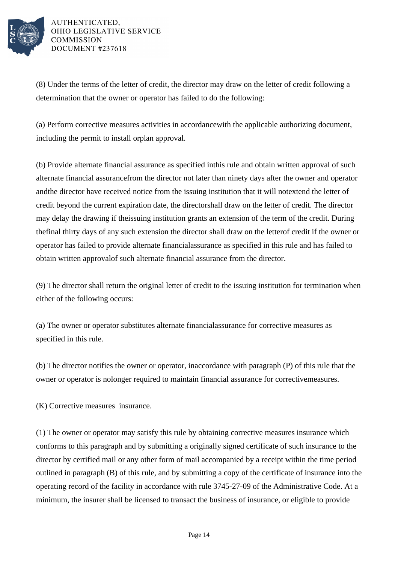

(8) Under the terms of the letter of credit, the director may draw on the letter of credit following a determination that the owner or operator has failed to do the following:

(a) Perform corrective measures activities in accordance with the applicable authorizing document, including the permit to install or plan approval.

(b) Provide alternate financial assurance as specified in this rule and obtain written approval of such alternate financial assurance from the director not later than ninety days after the owner and operator and the director have received notice from the issuing institution that it will not extend the letter of credit beyond the current expiration date, the director shall draw on the letter of credit. The director may delay the drawing if the issuing institution grants an extension of the term of the credit. During the final thirty days of any such extension the director shall draw on the letter of credit if the owner or operator has failed to provide alternate financial assurance as specified in this rule and has failed to obtain written approval of such alternate financial assurance from the director.

(9) The director shall return the original letter of credit to the issuing institution for termination when either of the following occurs:

(a) The owner or operator substitutes alternate financial assurance for corrective measures as specified in this rule.

(b) The director notifies the owner or operator, in accordance with paragraph  $(P)$  of this rule that the owner or operator is no longer required to maintain financial assurance for corrective measures.

(K) Corrective measures insurance.

(1) The owner or operator may satisfy this rule by obtaining corrective measures insurance which conforms to this paragraph and by submitting a originally signed certificate of such insurance to the director by certified mail or any other form of mail accompanied by a receipt within the time period outlined in paragraph (B) of this rule, and by submitting a copy of the certificate of insurance into the operating record of the facility in accordance with rule 3745-27-09 of the Administrative Code. At a minimum, the insurer shall be licensed to transact the business of insurance, or eligible to provide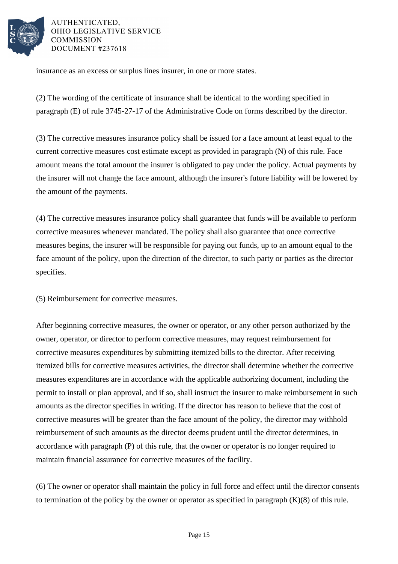

insurance as an excess or surplus lines insurer, in one or more states.

(2) The wording of the certificate of insurance shall be identical to the wording specified in paragraph (E) of rule 3745-27-17 of the Administrative Code on forms described by the director.

(3) The corrective measures insurance policy shall be issued for a face amount at least equal to the current corrective measures cost estimate except as provided in paragraph (N) of this rule. Face amount means the total amount the insurer is obligated to pay under the policy. Actual payments by the insurer will not change the face amount, although the insurer's future liability will be lowered by the amount of the payments.

(4) The corrective measures insurance policy shall guarantee that funds will be available to perform corrective measures whenever mandated. The policy shall also guarantee that once corrective measures begins, the insurer will be responsible for paying out funds, up to an amount equal to the face amount of the policy, upon the direction of the director, to such party or parties as the director specifies.

(5) Reimbursement for corrective measures.

After beginning corrective measures, the owner or operator, or any other person authorized by the owner, operator, or director to perform corrective measures, may request reimbursement for corrective measures expenditures by submitting itemized bills to the director. After receiving itemized bills for corrective measures activities, the director shall determine whether the corrective measures expenditures are in accordance with the applicable authorizing document, including the permit to install or plan approval, and if so, shall instruct the insurer to make reimbursement in such amounts as the director specifies in writing. If the director has reason to believe that the cost of corrective measures will be greater than the face amount of the policy, the director may withhold reimbursement of such amounts as the director deems prudent until the director determines, in accordance with paragraph (P) of this rule, that the owner or operator is no longer required to maintain financial assurance for corrective measures of the facility.

(6) The owner or operator shall maintain the policy in full force and effect until the director consents to termination of the policy by the owner or operator as specified in paragraph  $(K)(8)$  of this rule.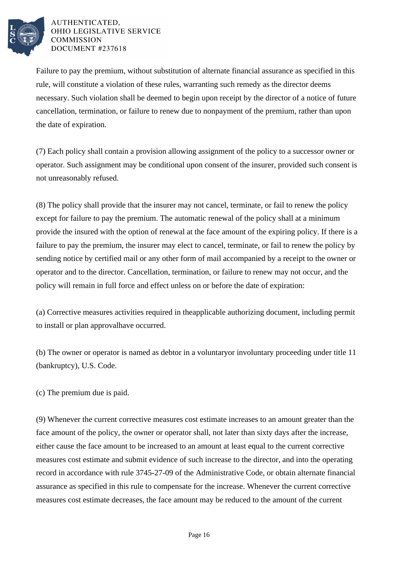

Failure to pay the premium, without substitution of alternate financial assurance as specified in this rule, will constitute a violation of these rules, warranting such remedy as the director deems necessary. Such violation shall be deemed to begin upon receipt by the director of a notice of future cancellation, termination, or failure to renew due to nonpayment of the premium, rather than upon the date of expiration.

(7) Each policy shall contain a provision allowing assignment of the policy to a successor owner or operator. Such assignment may be conditional upon consent of the insurer, provided such consent is not unreasonably refused.

(8) The policy shall provide that the insurer may not cancel, terminate, or fail to renew the policy except for failure to pay the premium. The automatic renewal of the policy shall at a minimum provide the insured with the option of renewal at the face amount of the expiring policy. If there is a failure to pay the premium, the insurer may elect to cancel, terminate, or fail to renew the policy by sending notice by certified mail or any other form of mail accompanied by a receipt to the owner or operator and to the director. Cancellation, termination, or failure to renew may not occur, and the policy will remain in full force and effect unless on or before the date of expiration:

(a) Corrective measures activities required in the applicable authorizing document, including permit to install or plan approval have occurred.

(b) The owner or operator is named as debtor in a voluntary or involuntary proceeding under title 11 (bankruptcy), U.S. Code.

(c) The premium due is paid.

(9) Whenever the current corrective measures cost estimate increases to an amount greater than the face amount of the policy, the owner or operator shall, not later than sixty days after the increase, either cause the face amount to be increased to an amount at least equal to the current corrective measures cost estimate and submit evidence of such increase to the director, and into the operating record in accordance with rule 3745-27-09 of the Administrative Code, or obtain alternate financial assurance as specified in this rule to compensate for the increase. Whenever the current corrective measures cost estimate decreases, the face amount may be reduced to the amount of the current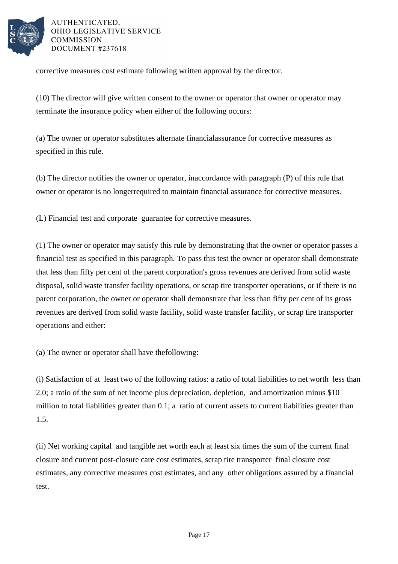

corrective measures cost estimate following written approval by the director.

(10) The director will give written consent to the owner or operator that owner or operator may terminate the insurance policy when either of the following occurs:

(a) The owner or operator substitutes alternate financial assurance for corrective measures as specified in this rule.

(b) The director notifies the owner or operator, in accordance with paragraph (P) of this rule that owner or operator is no longer required to maintain financial assurance for corrective measures.

(L) Financial test and corporate guarantee for corrective measures.

(1) The owner or operator may satisfy this rule by demonstrating that the owner or operator passes a financial test as specified in this paragraph. To pass this test the owner or operator shall demonstrate that less than fifty per cent of the parent corporation's gross revenues are derived from solid waste disposal, solid waste transfer facility operations, or scrap tire transporter operations, or if there is no parent corporation, the owner or operator shall demonstrate that less than fifty per cent of its gross revenues are derived from solid waste facility, solid waste transfer facility, or scrap tire transporter operations and either:

(a) The owner or operator shall have the following:

(i) Satisfaction of at least two of the following ratios: a ratio of total liabilities to net worth less than 2.0; a ratio of the sum of net income plus depreciation, depletion, and amortization minus \$10 million to total liabilities greater than 0.1; a ratio of current assets to current liabilities greater than 1.5.

(ii) Net working capital and tangible net worth each at least six times the sum of the current final closure and current post-closure care cost estimates, scrap tire transporter final closure cost estimates, any corrective measures cost estimates, and any other obligations assured by a financial test.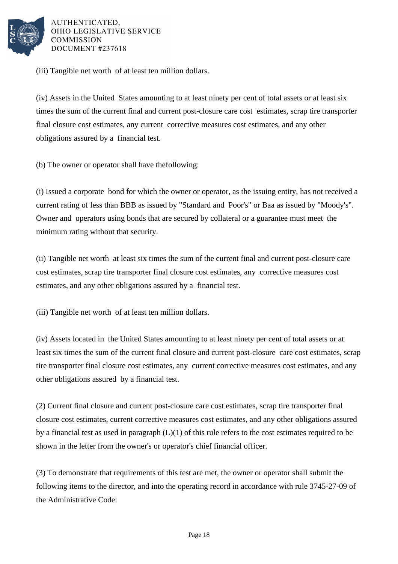

(iii) Tangible net worth of at least ten million dollars.

(iv) Assets in the United States amounting to at least ninety per cent of total assets or at least six times the sum of the current final and current post-closure care cost estimates, scrap tire transporter final closure cost estimates, any current corrective measures cost estimates, and any other obligations assured by a financial test.

(b) The owner or operator shall have the following:

(i) Issued a corporate bond for which the owner or operator, as the issuing entity, has not received a current rating of less than BBB as issued by "Standard and Poor's" or Baa as issued by "Moody's". Owner and operators using bonds that are secured by collateral or a guarantee must meet the minimum rating without that security.

(ii) Tangible net worth at least six times the sum of the current final and current post-closure care cost estimates, scrap tire transporter final closure cost estimates, any corrective measures cost estimates, and any other obligations assured by a financial test.

(iii) Tangible net worth of at least ten million dollars.

(iv) Assets located in the United States amounting to at least ninety per cent of total assets or at least six times the sum of the current final closure and current post-closure care cost estimates, scrap tire transporter final closure cost estimates, any current corrective measures cost estimates, and any other obligations assured by a financial test.

(2) Current final closure and current post-closure care cost estimates, scrap tire transporter final closure cost estimates, current corrective measures cost estimates, and any other obligations assured by a financial test as used in paragraph  $(L)(1)$  of this rule refers to the cost estimates required to be shown in the letter from the owner's or operator's chief financial officer.

(3) To demonstrate that requirements of this test are met, the owner or operator shall submit the following items to the director, and into the operating record in accordance with rule 3745-27-09 of the Administrative Code: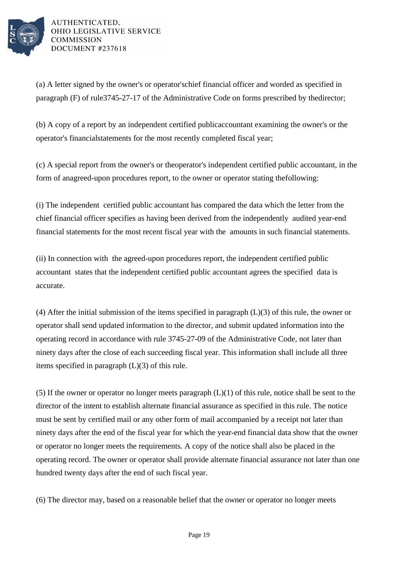

(a) A letter signed by the owner's or operator's chief financial officer and worded as specified in paragraph  $(F)$  of rule  $3745-27-17$  of the Administrative Code on forms prescribed by the director;

(b) A copy of a report by an independent certified public accountant examining the owner's or the operator's financial statements for the most recently completed fiscal year;

(c) A special report from the owner's or the operator's independent certified public accountant, in the form of an agreed-upon procedures report, to the owner or operator stating the following:

(i) The independent certified public accountant has compared the data which the letter from the chief financial officer specifies as having been derived from the independently audited year-end financial statements for the most recent fiscal year with the amounts in such financial statements.

(ii) In connection with the agreed-upon procedures report, the independent certified public accountant states that the independent certified public accountant agrees the specified data is accurate.

(4) After the initial submission of the items specified in paragraph  $(L)(3)$  of this rule, the owner or operator shall send updated information to the director, and submit updated information into the operating record in accordance with rule 3745-27-09 of the Administrative Code, not later than ninety days after the close of each succeeding fiscal year. This information shall include all three items specified in paragraph  $(L)(3)$  of this rule.

(5) If the owner or operator no longer meets paragraph  $(L)(1)$  of this rule, notice shall be sent to the director of the intent to establish alternate financial assurance as specified in this rule. The notice must be sent by certified mail or any other form of mail accompanied by a receipt not later than ninety days after the end of the fiscal year for which the year-end financial data show that the owner or operator no longer meets the requirements. A copy of the notice shall also be placed in the operating record. The owner or operator shall provide alternate financial assurance not later than one hundred twenty days after the end of such fiscal year.

(6) The director may, based on a reasonable belief that the owner or operator no longer meets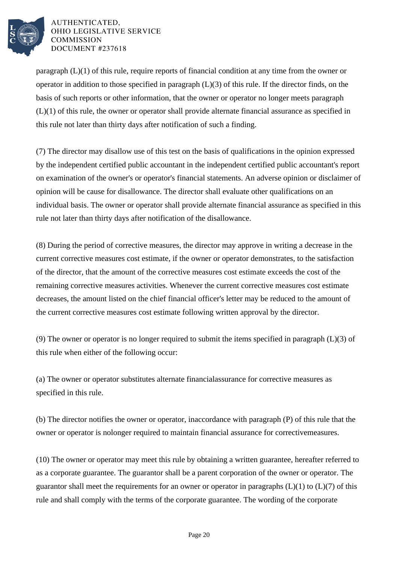

paragraph  $(L)(1)$  of this rule, require reports of financial condition at any time from the owner or operator in addition to those specified in paragraph  $(L)(3)$  of this rule. If the director finds, on the basis of such reports or other information, that the owner or operator no longer meets paragraph  $(L)(1)$  of this rule, the owner or operator shall provide alternate financial assurance as specified in this rule not later than thirty days after notification of such a finding.

(7) The director may disallow use of this test on the basis of qualifications in the opinion expressed by the independent certified public accountant in the independent certified public accountant's report on examination of the owner's or operator's financial statements. An adverse opinion or disclaimer of opinion will be cause for disallowance. The director shall evaluate other qualifications on an individual basis. The owner or operator shall provide alternate financial assurance as specified in this rule not later than thirty days after notification of the disallowance.

(8) During the period of corrective measures, the director may approve in writing a decrease in the current corrective measures cost estimate, if the owner or operator demonstrates, to the satisfaction of the director, that the amount of the corrective measures cost estimate exceeds the cost of the remaining corrective measures activities. Whenever the current corrective measures cost estimate decreases, the amount listed on the chief financial officer's letter may be reduced to the amount of the current corrective measures cost estimate following written approval by the director.

(9) The owner or operator is no longer required to submit the items specified in paragraph  $(L)(3)$  of this rule when either of the following occur:

(a) The owner or operator substitutes alternate financial assurance for corrective measures as specified in this rule.

(b) The director notifies the owner or operator, in accordance with paragraph  $(P)$  of this rule that the owner or operator is no longer required to maintain financial assurance for corrective measures.

(10) The owner or operator may meet this rule by obtaining a written guarantee, hereafter referred to as a corporate guarantee. The guarantor shall be a parent corporation of the owner or operator. The guarantor shall meet the requirements for an owner or operator in paragraphs  $(L)(1)$  to  $(L)(7)$  of this rule and shall comply with the terms of the corporate guarantee. The wording of the corporate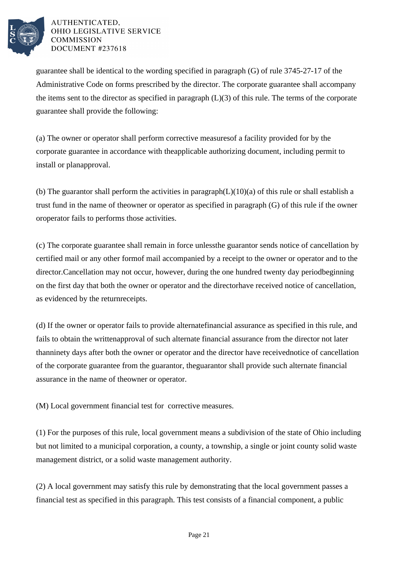

guarantee shall be identical to the wording specified in paragraph  $(G)$  of rule  $3745-27-17$  of the Administrative Code on forms prescribed by the director. The corporate guarantee shall accompany the items sent to the director as specified in paragraph  $(L)(3)$  of this rule. The terms of the corporate guarantee shall provide the following:

(a) The owner or operator shall perform corrective measures of a facility provided for by the corporate guarantee in accordance with the applicable authorizing document, including permit to install or plan approval.

(b) The guarantor shall perform the activities in paragraph  $(L)(10)(a)$  of this rule or shall establish a trust fund in the name of the owner or operator as specified in paragraph  $(G)$  of this rule if the owner or operator fails to performs those activities.

(c) The corporate guarantee shall remain in force unless the guarantor sends notice of cancellation by certified mail or any other form of mail accompanied by a receipt to the owner or operator and to the director. Cancellation may not occur, however, during the one hundred twenty day period beginning on the first day that both the owner or operator and the director have received notice of cancellation, as evidenced by the return receipts.

(d) If the owner or operator fails to provide alternate financial assurance as specified in this rule, and fails to obtain the written approval of such alternate financial assurance from the director not later than ninety days after both the owner or operator and the director have received notice of cancellation of the corporate guarantee from the guarantor, the guarantor shall provide such alternate financial assurance in the name of the owner or operator.

(M) Local government financial test for corrective measures.

(1) For the purposes of this rule, local government means a subdivision of the state of Ohio including but not limited to a municipal corporation, a county, a township, a single or joint county solid waste management district, or a solid waste management authority.

(2) A local government may satisfy this rule by demonstrating that the local government passes a financial test as specified in this paragraph. This test consists of a financial component, a public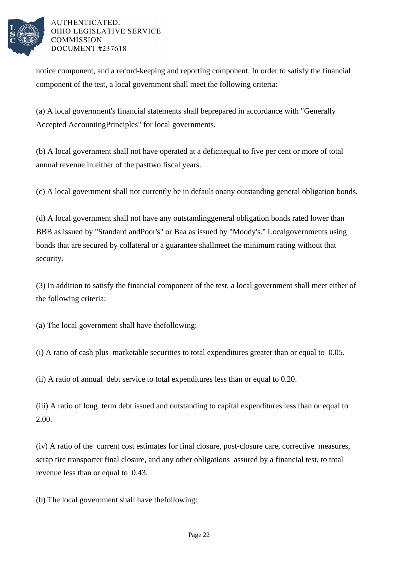

notice component, and a record-keeping and reporting component. In order to satisfy the financial component of the test, a local government shall meet the following criteria:

(a) A local government's financial statements shall be prepared in accordance with "Generally Accepted Accounting Principles" for local governments.

(b) A local government shall not have operated at a deficit equal to five per cent or more of total annual revenue in either of the past two fiscal years.

(c) A local government shall not currently be in default on any outstanding general obligation bonds.

(d) A local government shall not have any outstanding general obligation bonds rated lower than BBB as issued by "Standard and Poor's" or Baa as issued by "Moody's." Local governments using bonds that are secured by collateral or a guarantee shall meet the minimum rating without that security.

(3) In addition to satisfy the financial component of the test, a local government shall meet either of the following criteria:

(a) The local government shall have the following:

(i) A ratio of cash plus marketable securities to total expenditures greater than or equal to  $0.05$ .

 $(iii)$  A ratio of annual debt service to total expenditures less than or equal to 0.20.

(iii) A ratio of long term debt issued and outstanding to capital expenditures less than or equal to 2.00.

(iv) A ratio of the current cost estimates for final closure, post-closure care, corrective measures, scrap tire transporter final closure, and any other obligations assured by a financial test, to total revenue less than or equal to  $0.43$ .

(b) The local government shall have the following: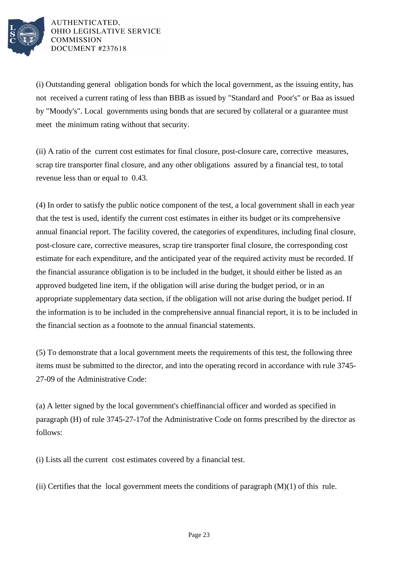

(i) Outstanding general obligation bonds for which the local government, as the issuing entity, has not received a current rating of less than BBB as issued by "Standard and Poor's" or Baa as issued by "Moody's". Local governments using bonds that are secured by collateral or a guarantee must meet the minimum rating without that security.

(ii) A ratio of the current cost estimates for final closure, post-closure care, corrective measures, scrap tire transporter final closure, and any other obligations assured by a financial test, to total revenue less than or equal to  $0.43$ .

(4) In order to satisfy the public notice component of the test, a local government shall in each year that the test is used, identify the current cost estimates in either its budget or its comprehensive annual financial report. The facility covered, the categories of expenditures, including final closure, post-closure care, corrective measures, scrap tire transporter final closure, the corresponding cost estimate for each expenditure, and the anticipated year of the required activity must be recorded. If the financial assurance obligation is to be included in the budget, it should either be listed as an approved budgeted line item, if the obligation will arise during the budget period, or in an appropriate supplementary data section, if the obligation will not arise during the budget period. If the information is to be included in the comprehensive annual financial report, it is to be included in the financial section as a footnote to the annual financial statements.

(5) To demonstrate that a local government meets the requirements of this test, the following three items must be submitted to the director, and into the operating record in accordance with rule 3745-27-09 of the Administrative Code:

(a) A letter signed by the local government's chief financial officer and worded as specified in paragraph (H) of rule 3745-27-17 of the Administrative Code on forms prescribed by the director as follows:

(i) Lists all the current cost estimates covered by a financial test.

(ii) Certifies that the local government meets the conditions of paragraph  $(M)(1)$  of this rule.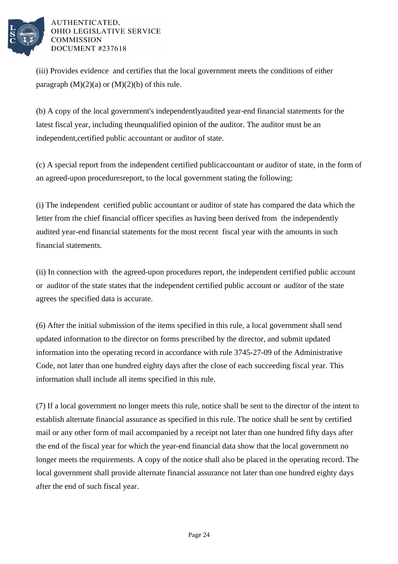

(iii) Provides evidence and certifies that the local government meets the conditions of either paragraph  $(M)(2)(a)$  or  $(M)(2)(b)$  of this rule.

(b) A copy of the local government's independently audited year-end financial statements for the latest fiscal year, including the unqualified opinion of the auditor. The auditor must be an independent, certified public accountant or auditor of state.

(c) A special report from the independent certified public accountant or auditor of state, in the form of an agreed-upon procedures report, to the local government stating the following:

(i) The independent certified public accountant or auditor of state has compared the data which the letter from the chief financial officer specifies as having been derived from the independently audited year-end financial statements for the most recent fiscal year with the amounts in such financial statements.

(ii) In connection with the agreed-upon procedures report, the independent certified public account or auditor of the state states that the independent certified public account or auditor of the state agrees the specified data is accurate.

(6) After the initial submission of the items specified in this rule, a local government shall send updated information to the director on forms prescribed by the director, and submit updated information into the operating record in accordance with rule 3745-27-09 of the Administrative Code, not later than one hundred eighty days after the close of each succeeding fiscal year. This information shall include all items specified in this rule.

(7) If a local government no longer meets this rule, notice shall be sent to the director of the intent to establish alternate financial assurance as specified in this rule. The notice shall be sent by certified mail or any other form of mail accompanied by a receipt not later than one hundred fifty days after the end of the fiscal year for which the year-end financial data show that the local government no longer meets the requirements. A copy of the notice shall also be placed in the operating record. The local government shall provide alternate financial assurance not later than one hundred eighty days after the end of such fiscal year.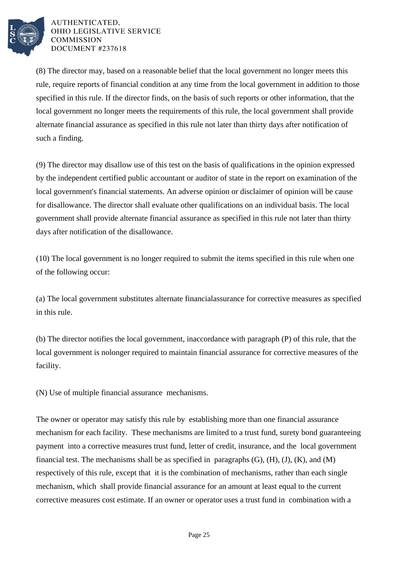

(8) The director may, based on a reasonable belief that the local government no longer meets this rule, require reports of financial condition at any time from the local government in addition to those specified in this rule. If the director finds, on the basis of such reports or other information, that the local government no longer meets the requirements of this rule, the local government shall provide alternate financial assurance as specified in this rule not later than thirty days after notification of such a finding.

(9) The director may disallow use of this test on the basis of qualifications in the opinion expressed by the independent certified public accountant or auditor of state in the report on examination of the local government's financial statements. An adverse opinion or disclaimer of opinion will be cause for disallowance. The director shall evaluate other qualifications on an individual basis. The local government shall provide alternate financial assurance as specified in this rule not later than thirty days after notification of the disallowance.

 $(10)$  The local government is no longer required to submit the items specified in this rule when one of the following occur:

(a) The local government substitutes alternate financial assurance for corrective measures as specified in this rule.

(b) The director notifies the local government, in accordance with paragraph (P) of this rule, that the local government is no longer required to maintain financial assurance for corrective measures of the facility.

(N) Use of multiple financial assurance mechanisms.

The owner or operator may satisfy this rule by establishing more than one financial assurance mechanism for each facility. These mechanisms are limited to a trust fund, surety bond guaranteeing payment into a corrective measures trust fund, letter of credit, insurance, and the local government financial test. The mechanisms shall be as specified in paragraphs  $(G)$ ,  $(H)$ ,  $(J)$ ,  $(K)$ , and  $(M)$ respectively of this rule, except that it is the combination of mechanisms, rather than each single mechanism, which shall provide financial assurance for an amount at least equal to the current corrective measures cost estimate. If an owner or operator uses a trust fund in combination with a